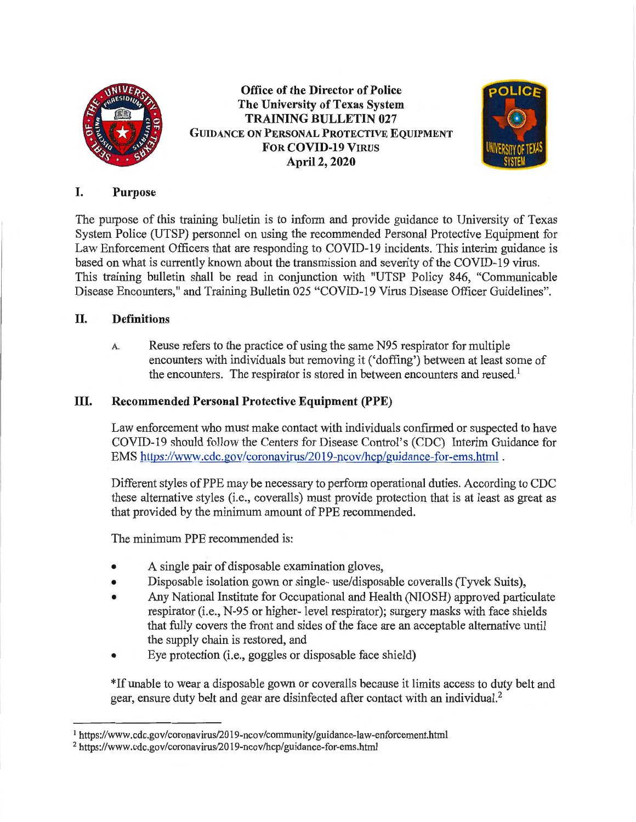

**Office of the Director of Police The University of Texas System TRAINING BULLETIN 027 GUIDANCE ON PERSONAL PROTECTIVE EQUIPMENT FOR COVID-19 VIRUS April 2, 2020** 



### I. **Purpose**

The purpose of this training bulletin is to inform and provide guidance to University of Texas System Police (UTSP) personnel on using the recommended Personal Protective Equipment for Law Enforcement Officers that are responding to COVID-19 incidents. This interim guidance is based on what is currently known about the transmission and severity of the COVID-19 virus. This training bulletin shall be read in conjunction with "UTSP Policy 846, "Communicable Disease Encounters," and Training Bulletin 025 "COVID-19 Virus Disease Officer Guidelines".

# II. **Definitions**

A. Reuse refers to the practice of using the same N95 respirator for multiple encounters with individuals but removing it (' doffing') between at least some of the encounters. The respirator is stored in between encounters and reused.<sup>1</sup>

### III. **Recommended Personal Protective Equipment (PPE)**

Law enforcement who must make contact with individuals confirmed or suspected to have COVID-19 should follow the Centers for Disease Control's (CDC) Interim Guidance for EMS https://www.cdc.gov/coronavirus/2019-ncov/hcp/guidance-for-ems.html .

Different styles of PPE may be necessary to perform operational duties. According to CDC these alternative styles (i.e., coveralls) must provide protection that is at least as great as that provided by the minimum amount of PPE recommended.

The minimum PPE recommended is:

- A single pair of disposable examination gloves,
- Disposable isolation gown or single- use/disposable coveralls (Tyvek Suits),
- Any National Institute for Occupational and Health (NIOSH) approved particulate respirator (i.e., N-95 or higher- level respirator); surgery masks with face shields that fully covers the front and sides of the face are an acceptable alternative until the supply chain is restored, and
- Eye protection (i.e., goggles or disposable face shield)

\*If unable to wear a disposable gown or coveralls because it limits access to duty belt and gear, ensure duty belt and gear are disinfected after contact with an individual.<sup>2</sup>

<sup>1</sup>https://www.cdc.gov/coronavirus/2019-ncov/community/guidance-law-enforcement.html

<sup>2</sup> https://www.cdc.gov/coronavirus/2019-ncov/hcp/guidance-for-ems.html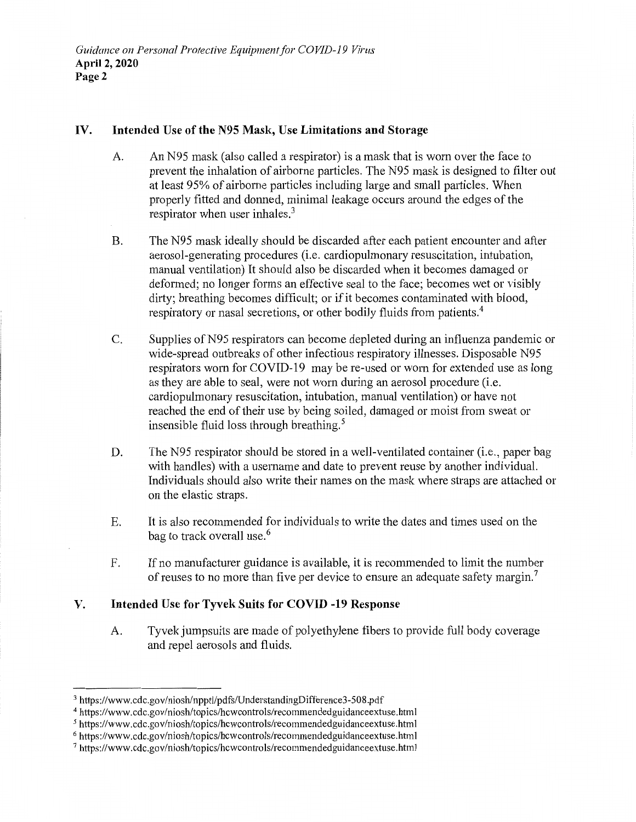#### **IV. Intended Use of the N95 Mask, Use Limitations and Storage**

- A. An N95 mask (also called a respirator) is a mask that is worn over the face to prevent the inhalation of airborne particles. The N95 mask is designed to filter out at least 95% of airborne particles including large and small particles. When properly fitted and donned, minimal leakage occurs around the edges of the respirator when user inhales. $3$
- B. The N95 mask ideally should be discarded after each patient encounter and after aerosol-generating procedures (i.e. cardiopulmonary resuscitation, intubation, manual ventilation) It should also be discarded when it becomes damaged or deformed; no longer forms an effective seal to the face; becomes wet or visibly dirty; breathing becomes difficult; or if it becomes contaminated with blood, respiratory or nasal secretions, or other bodily fluids from patients.<sup>4</sup>
- C. Supplies of N95 respirators can become depleted during an influenza pandemic or wide-spread outbreaks of other infectious respiratory illnesses. Disposable N95 respirators worn for COVID-19 may be re-used or worn for extended use as long as they are able to seal, were not worn during an aerosol procedure (i.e. cardiopulmonary resuscitation, intubation, manual ventilation) or have not reached the end of their use by being soiled, damaged or moist from sweat or insensible fluid loss through breathing. 5
- D. The N95 respirator should be stored in a well-ventilated container (i.e., paper bag with handles) with a username and date to prevent reuse by another individual. Individuals should also write their names on the mask where straps are attached or on the elastic straps.
- E. It is also recommended for individuals to write the dates and times used on the bag to track overall use.<sup>6</sup>
- F. If no manufacturer guidance is available, it is recommended to limit the number of reuses to no more than five per device to ensure an adequate safety margin.<sup>7</sup>

#### **V. Intended Use for Tyvek Suits for COVID -19 Response**

A. Tyvek jumpsuits are made of polyethylene fibers to provide full body coverage and repel aerosols and fluids.

<sup>3</sup>https://www.cdc.gov/niosh/npptl/pdfs/UnderstandingDifference3-508.pdf

<sup>&</sup>lt;sup>4</sup> https://www.cdc.gov/niosh/topics/hcwcontrols/recommendedguidanceextuse.html

<sup>5</sup>https://www.cdc.gov/niosh/topics/hcwcontrols/recommendedguidanceextuse.html

<sup>6</sup>https://www.cdc.gov/niosh/topics/hcwcontrols/recommendedguidanceextuse.html

<sup>7</sup> https://www.cdc.gov/niosh/topics/hcwcontrols/recommendedguidanceextuse.html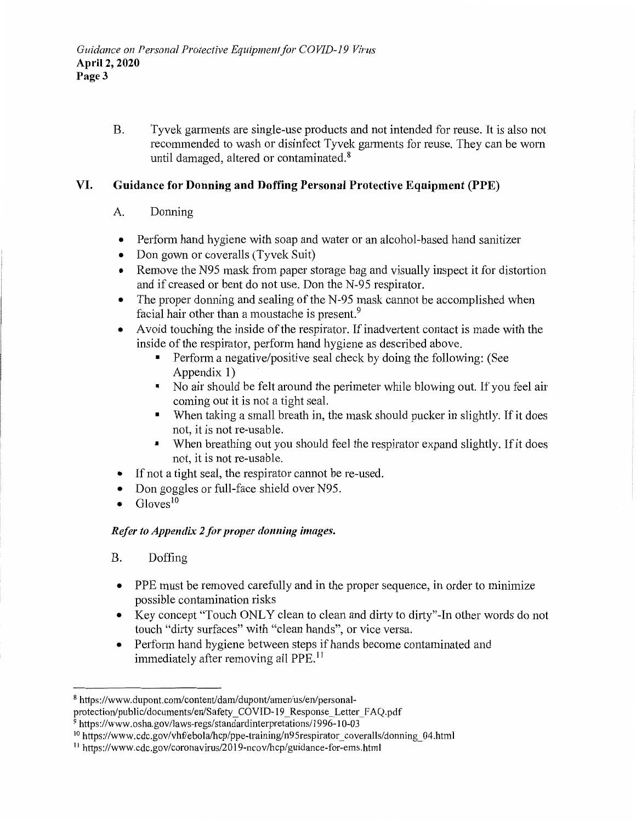B. Tyvek garments are single-use products and not intended for reuse. It is also not recommended to wash or disinfect Tyvek garments for reuse. They can be worn until damaged, altered or contaminated.<sup>8</sup>

# **VI. Guidance for Donning and Doffing Personal Protective Equipment (PPE)**

- A. Donning
- Perform hand hygiene with soap and water or an alcohol-based hand sanitizer
- Don gown or coveralls (Tyvek Suit)
- Remove the N95 mask from paper storage bag and visually inspect it for distortion and if creased or bent do not use. Don the N-95 respirator.
- The proper donning and sealing of the N-95 mask cannot be accomplished when facial hair other than a moustache is present.<sup>9</sup>
- A void touching the inside of the respirator. If inadvertent contact is made with the inside of the respirator, perform hand hygiene as described above.
	- Perform a negative/positive seal check by doing the following: (See Appendix 1)
	- No air should be felt around the perimeter while blowing out. If you feel air coming out it is not a tight seal.
	- When taking a small breath in, the mask should pucker in slightly. If it does not, it is not re-usable.
	- When breathing out you should feel the respirator expand slightly. If it does not, it is not re-usable.
- If not a tight seal, the respirator cannot be re-used.
- Don goggles or full-face shield over N95.
- Gloves<sup>10</sup>

# *Refer to Appendix 2 for proper donning images.*

- B. Doffing
- PPE must be removed carefully and in the proper sequence, in order to minimize possible contamination risks
- Key concept "Touch ONLY clean to clean and dirty to dirty"-In other words do not touch "dirty surfaces" with "clean hands", or vice versa.
- Perform hand hygiene between steps if hands become contaminated and immediately after removing all PPE.<sup>11</sup>

<sup>&</sup>lt;sup>8</sup> https://www.dupont.com/content/dam/dupont/amer/us/en/personal-

protection/public/documents/en/Safety\_COVID-19\_Response\_Letter FAQ.pdf

 $9$  https://www.osha.gov/laws-regs/standardinterpretations/1996-10-03

<sup>&</sup>lt;sup>10</sup> https://www.cdc.gov/vhf/ebola/hcp/ppe-training/n95respirator coveralls/donning 04.html

<sup>11</sup> https://www.cdc.gov/coronavirus/2019-ncov/hcp/guidance-for-ems.html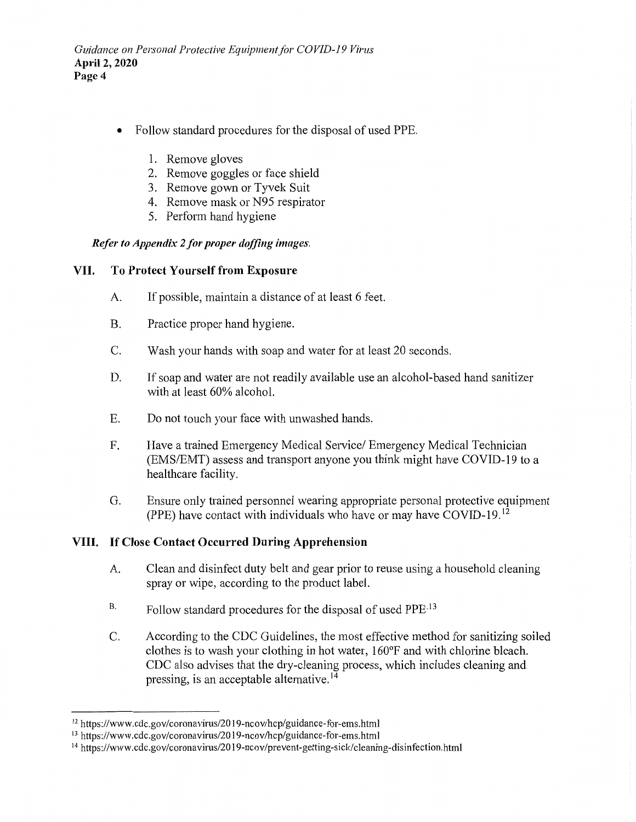- Follow standard procedures for the disposal of used PPE.
	- 1. Remove gloves
	- 2. Remove goggles or face shield
	- 3. Remove gown or Tyvek Suit
	- 4. Remove mask or N95 respirator
	- 5. Perform hand hygiene

#### *Refer to Appendix 2 for proper doffing images.*

#### **VII. To Protect Yourself from Exposure**

- A. If possible, maintain a distance of at least 6 feet.
- B. Practice proper hand hygiene.
- C. Wash your hands with soap and water for at least 20 seconds.
- D. If soap and water are not readily available use an alcohol-based hand sanitizer with at least 60% alcohol.
- E. Do not touch your face with unwashed hands.
- F. Have a trained Emergency Medical Service/ Emergency Medical Technician (EMS/EMT) assess and transport anyone you think might have COVID-19 to a healthcare facility.
- G. Ensure only trained personnel wearing appropriate personal protective equipment (PPE) have contact with individuals who have or may have COVID-19. 12

#### **VIII. If Close Contact Occurred During Apprehension**

- A. Clean and disinfect duty belt and gear prior to reuse using a household cleaning spray or wipe, according to the product label.
- B. Follow standard procedures for the disposal of used PPE<sup>.13</sup>
- C. According to the CDC Guidelines, the most effective method for sanitizing soiled clothes is to wash your clothing in hot water, 160°F and with chlorine bleach. CDC also advises that the dry-cleaning process, which includes cleaning and pressing, is an acceptable alternative.<sup>14</sup>

<sup>12</sup> https://www .cdc.gov/coronavirus/2019-ncov/hcp/guidance-for-ems.html

<sup>13</sup> https://www .cdc.gov/coronavirus/2019-ncov/hcp/guidance-for-ems.html

<sup>14</sup> https://www.cdc.gov/coronavirus/2019-ncov/prevent-getting-sick/cleaning-disinfection.html